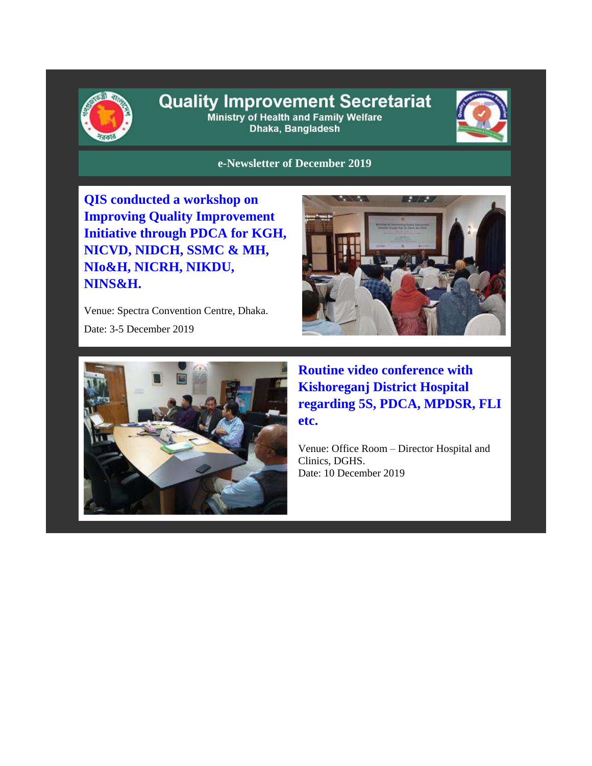

## **Quality Improvement Secretariat** Ministry of Health and Family Welfare

Dhaka, Bangladesh



**e-Newsletter of December 2019**

**QIS conducted a workshop on Improving Quality Improvement Initiative through PDCA for KGH, NICVD, NIDCH, SSMC & MH, NIo&H, NICRH, NIKDU, NINS&H.**

Venue: Spectra Convention Centre, Dhaka.

Date: 3-5 December 2019





**Routine video conference with Kishoreganj District Hospital regarding 5S, PDCA, MPDSR, FLI etc.**

Venue: Office Room – Director Hospital and Clinics, DGHS. Date: 10 December 2019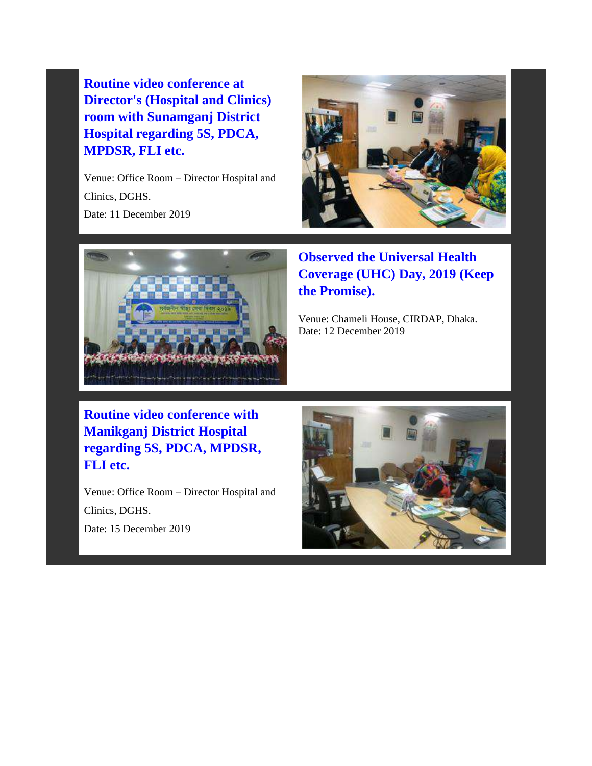**Routine video conference at Director's (Hospital and Clinics) room with Sunamganj District Hospital regarding 5S, PDCA, MPDSR, FLI etc.**

Venue: Office Room – Director Hospital and Clinics, DGHS. Date: 11 December 2019





**Observed the Universal Health Coverage (UHC) Day, 2019 (Keep the Promise).** 

Venue: Chameli House, CIRDAP, Dhaka. Date: 12 December 2019

**Routine video conference with Manikganj District Hospital regarding 5S, PDCA, MPDSR, FLI etc.**

Venue: Office Room – Director Hospital and Clinics, DGHS. Date: 15 December 2019

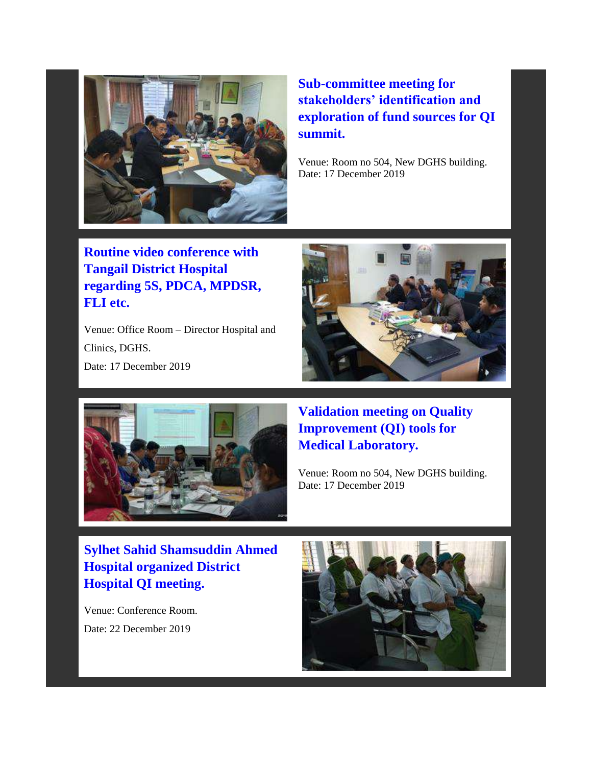

**Sub-committee meeting for stakeholders' identification and exploration of fund sources for QI summit.** 

Venue: Room no 504, New DGHS building. Date: 17 December 2019

**Routine video conference with Tangail District Hospital regarding 5S, PDCA, MPDSR, FLI etc.**

Venue: Office Room – Director Hospital and Clinics, DGHS. Date: 17 December 2019





**Validation meeting on Quality Improvement (QI) tools for Medical Laboratory.** 

Venue: Room no 504, New DGHS building. Date: 17 December 2019

**Sylhet Sahid Shamsuddin Ahmed Hospital organized District Hospital QI meeting.**

Venue: Conference Room. Date: 22 December 2019

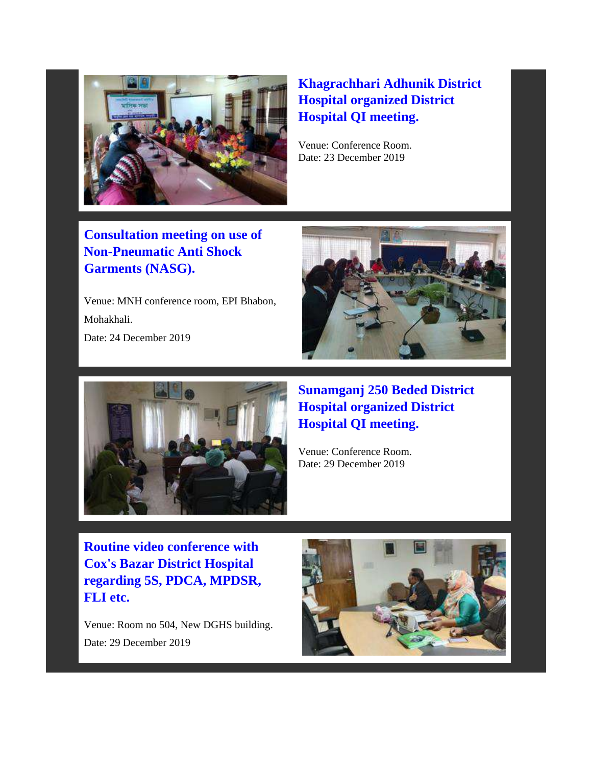

## **Khagrachhari Adhunik District Hospital organized District Hospital QI meeting.**

Venue: Conference Room. Date: 23 December 2019

**Consultation meeting on use of Non-Pneumatic Anti Shock Garments (NASG).**

Venue: MNH conference room, EPI Bhabon, Mohakhali. Date: 24 December 2019





**Sunamganj 250 Beded District Hospital organized District Hospital QI meeting.** 

Venue: Conference Room. Date: 29 December 2019

**Routine video conference with Cox's Bazar District Hospital regarding 5S, PDCA, MPDSR, FLI etc.**

Venue: Room no 504, New DGHS building. Date: 29 December 2019